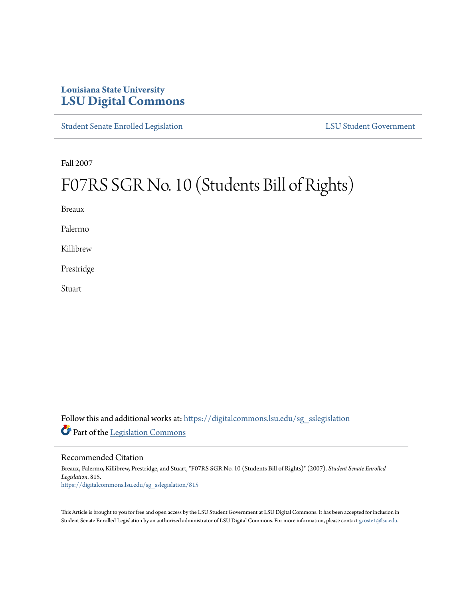## **Louisiana State University [LSU Digital Commons](https://digitalcommons.lsu.edu?utm_source=digitalcommons.lsu.edu%2Fsg_sslegislation%2F815&utm_medium=PDF&utm_campaign=PDFCoverPages)**

[Student Senate Enrolled Legislation](https://digitalcommons.lsu.edu/sg_sslegislation?utm_source=digitalcommons.lsu.edu%2Fsg_sslegislation%2F815&utm_medium=PDF&utm_campaign=PDFCoverPages) [LSU Student Government](https://digitalcommons.lsu.edu/sg?utm_source=digitalcommons.lsu.edu%2Fsg_sslegislation%2F815&utm_medium=PDF&utm_campaign=PDFCoverPages)

Fall 2007

# F07RS SGR No. 10 (Students Bill of Rights)

Breaux

Palermo

Killibrew

Prestridge

**Stuart** 

Follow this and additional works at: [https://digitalcommons.lsu.edu/sg\\_sslegislation](https://digitalcommons.lsu.edu/sg_sslegislation?utm_source=digitalcommons.lsu.edu%2Fsg_sslegislation%2F815&utm_medium=PDF&utm_campaign=PDFCoverPages) Part of the [Legislation Commons](http://network.bepress.com/hgg/discipline/859?utm_source=digitalcommons.lsu.edu%2Fsg_sslegislation%2F815&utm_medium=PDF&utm_campaign=PDFCoverPages)

#### Recommended Citation

Breaux, Palermo, Killibrew, Prestridge, and Stuart, "F07RS SGR No. 10 (Students Bill of Rights)" (2007). *Student Senate Enrolled Legislation*. 815. [https://digitalcommons.lsu.edu/sg\\_sslegislation/815](https://digitalcommons.lsu.edu/sg_sslegislation/815?utm_source=digitalcommons.lsu.edu%2Fsg_sslegislation%2F815&utm_medium=PDF&utm_campaign=PDFCoverPages)

This Article is brought to you for free and open access by the LSU Student Government at LSU Digital Commons. It has been accepted for inclusion in Student Senate Enrolled Legislation by an authorized administrator of LSU Digital Commons. For more information, please contact [gcoste1@lsu.edu.](mailto:gcoste1@lsu.edu)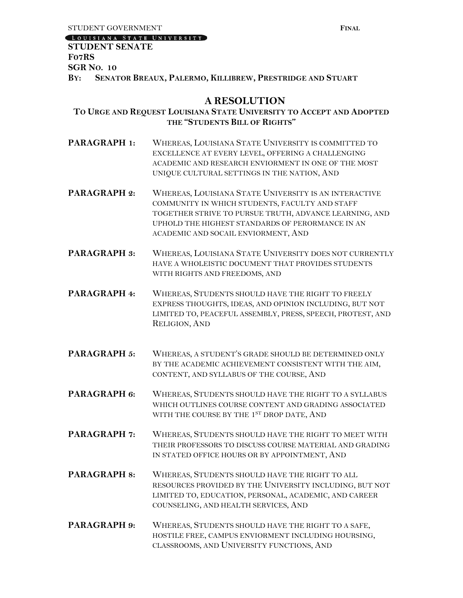[LOUISIANA STATE UNIVERSITY]

#### **STUDENT SENATE F07RS SGR NO. 10**

**BY: SENATOR BREAUX, PALERMO, KILLIBREW, PRESTRIDGE AND STUART**

### **A RESOLUTION**

#### **TO URGE AND REQUEST LOUISIANA STATE UNIVERSITY TO ACCEPT AND ADOPTED THE "STUDENTS BILL OF RIGHTS"**

- **PARAGRAPH 1:** WHEREAS, LOUISIANA STATE UNIVERSITY IS COMMITTED TO EXCELLENCE AT EVERY LEVEL, OFFERING A CHALLENGING ACADEMIC AND RESEARCH ENVIORMENT IN ONE OF THE MOST UNIQUE CULTURAL SETTINGS IN THE NATION, AND
- **PARAGRAPH 2: WHEREAS, LOUISIANA STATE UNIVERSITY IS AN INTERACTIVE** COMMUNITY IN WHICH STUDENTS, FACULTY AND STAFF TOGETHER STRIVE TO PURSUE TRUTH, ADVANCE LEARNING, AND UPHOLD THE HIGHEST STANDARDS OF PERORMANCE IN AN ACADEMIC AND SOCAIL ENVIORMENT, AND
- **PARAGRAPH 3:** WHEREAS, LOUISIANA STATE UNIVERSITY DOES NOT CURRENTLY HAVE A WHOLEISTIC DOCUMENT THAT PROVIDES STUDENTS WITH RIGHTS AND FREEDOMS, AND
- **PARAGRAPH 4:** WHEREAS, STUDENTS SHOULD HAVE THE RIGHT TO FREELY EXPRESS THOUGHTS, IDEAS, AND OPINION INCLUDING, BUT NOT LIMITED TO, PEACEFUL ASSEMBLY, PRESS, SPEECH, PROTEST, AND RELIGION, AND
- **PARAGRAPH 5:** WHEREAS, A STUDENT'S GRADE SHOULD BE DETERMINED ONLY BY THE ACADEMIC ACHIEVEMENT CONSISTENT WITH THE AIM, CONTENT, AND SYLLABUS OF THE COURSE, AND
- PARAGRAPH 6: WHEREAS, STUDENTS SHOULD HAVE THE RIGHT TO A SYLLABUS WHICH OUTLINES COURSE CONTENT AND GRADING ASSOCIATED WITH THE COURSE BY THE 1ST DROP DATE, AND
- PARAGRAPH 7: WHEREAS, STUDENTS SHOULD HAVE THE RIGHT TO MEET WITH THEIR PROFESSORS TO DISCUSS COURSE MATERIAL AND GRADING IN STATED OFFICE HOURS OR BY APPOINTMENT, AND
- **PARAGRAPH 8:** WHEREAS, STUDENTS SHOULD HAVE THE RIGHT TO ALL RESOURCES PROVIDED BY THE UNIVERSITY INCLUDING, BUT NOT LIMITED TO, EDUCATION, PERSONAL, ACADEMIC, AND CAREER COUNSELING, AND HEALTH SERVICES, AND
- **PARAGRAPH 9:** WHEREAS, STUDENTS SHOULD HAVE THE RIGHT TO A SAFE, HOSTILE FREE, CAMPUS ENVIORMENT INCLUDING HOURSING, CLASSROOMS, AND UNIVERSITY FUNCTIONS, AND